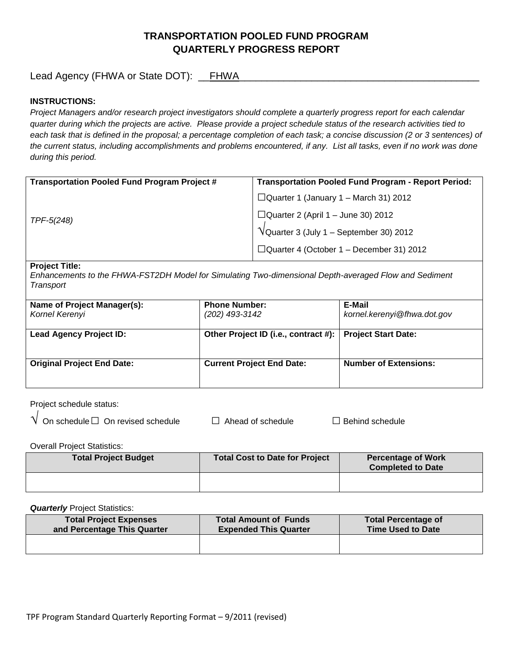# **TRANSPORTATION POOLED FUND PROGRAM QUARTERLY PROGRESS REPORT**

Lead Agency (FHWA or State DOT): \_\_FHWA

# **INSTRUCTIONS:**

*Project Managers and/or research project investigators should complete a quarterly progress report for each calendar quarter during which the projects are active. Please provide a project schedule status of the research activities tied to*  each task that is defined in the proposal; a percentage completion of each task; a concise discussion (2 or 3 sentences) of the current status, including accomplishments and problems encountered, if any. List all tasks, even if no work was done *during this period.*

| <b>Transportation Pooled Fund Program Project #</b> | <b>Transportation Pooled Fund Program - Report Period:</b> |
|-----------------------------------------------------|------------------------------------------------------------|
|                                                     | $\Box$ Quarter 1 (January 1 – March 31) 2012               |
| TPF-5(248)                                          | $\Box$ Quarter 2 (April 1 – June 30) 2012                  |
|                                                     | $\sqrt{\text{Quarter 3}}$ (July 1 – September 30) 2012     |
|                                                     | $\Box$ Quarter 4 (October 1 – December 31) 2012            |
|                                                     |                                                            |

#### **Project Title:**

*Enhancements to the FHWA-FST2DH Model for Simulating Two-dimensional Depth-averaged Flow and Sediment Transport*

| Name of Project Manager(s):<br>Kornel Kerenyi | <b>Phone Number:</b><br>(202) 493-3142                     | E-Mail<br>kornel.kerenyi@fhwa.dot.gov |
|-----------------------------------------------|------------------------------------------------------------|---------------------------------------|
| <b>Lead Agency Project ID:</b>                | Other Project ID (i.e., contract #):   Project Start Date: |                                       |
| <b>Original Project End Date:</b>             | <b>Current Project End Date:</b>                           | <b>Number of Extensions:</b>          |

Project schedule status:

| $\sf{V}\,$ On schedule $\Box\,$ On revised schedul $\sf{s}$ |  |
|-------------------------------------------------------------|--|
|-------------------------------------------------------------|--|

 $\Box$  On Ahead of schedule □ Behind schedule

Overall Project Statistics:

| <b>Total Project Budget</b> | <b>Total Cost to Date for Project</b> | <b>Percentage of Work</b><br><b>Completed to Date</b> |
|-----------------------------|---------------------------------------|-------------------------------------------------------|
|                             |                                       |                                                       |

**Quarterly** Project Statistics:

| <b>Total Project Expenses</b> | <b>Total Amount of Funds</b> | <b>Total Percentage of</b> |
|-------------------------------|------------------------------|----------------------------|
| and Percentage This Quarter   | <b>Expended This Quarter</b> | <b>Time Used to Date</b>   |
|                               |                              |                            |